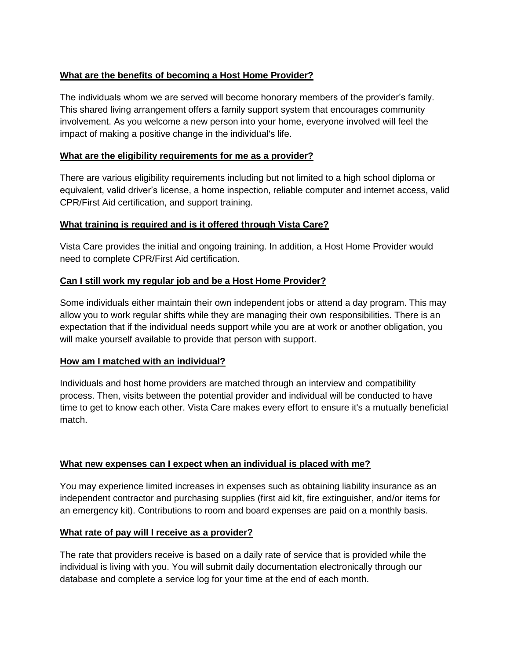# **What are the benefits of becoming a Host Home Provider?**

The individuals whom we are served will become honorary members of the provider's family. This shared living arrangement offers a family support system that encourages community involvement. As you welcome a new person into your home, everyone involved will feel the impact of making a positive change in the individual's life.

## **What are the eligibility requirements for me as a provider?**

There are various eligibility requirements including but not limited to a high school diploma or equivalent, valid driver's license, a home inspection, reliable computer and internet access, valid CPR/First Aid certification, and support training.

## **What training is required and is it offered through Vista Care?**

Vista Care provides the initial and ongoing training. In addition, a Host Home Provider would need to complete CPR/First Aid certification.

## **Can I still work my regular job and be a Host Home Provider?**

Some individuals either maintain their own independent jobs or attend a day program. This may allow you to work regular shifts while they are managing their own responsibilities. There is an expectation that if the individual needs support while you are at work or another obligation, you will make yourself available to provide that person with support.

#### **How am I matched with an individual?**

Individuals and host home providers are matched through an interview and compatibility process. Then, visits between the potential provider and individual will be conducted to have time to get to know each other. Vista Care makes every effort to ensure it's a mutually beneficial match.

#### **What new expenses can I expect when an individual is placed with me?**

You may experience limited increases in expenses such as obtaining liability insurance as an independent contractor and purchasing supplies (first aid kit, fire extinguisher, and/or items for an emergency kit). Contributions to room and board expenses are paid on a monthly basis.

#### **What rate of pay will I receive as a provider?**

The rate that providers receive is based on a daily rate of service that is provided while the individual is living with you. You will submit daily documentation electronically through our database and complete a service log for your time at the end of each month.